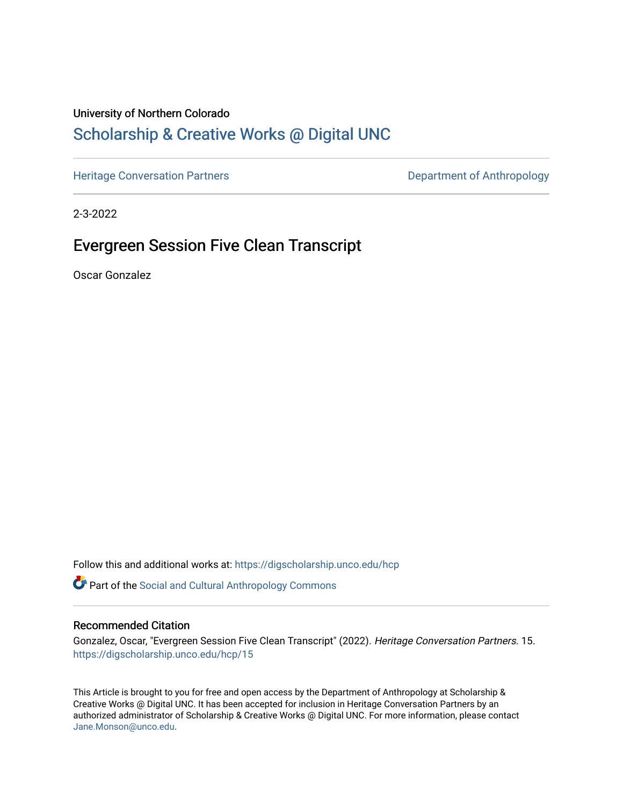### University of Northern Colorado

# [Scholarship & Creative Works @ Digital UNC](https://digscholarship.unco.edu/)

[Heritage Conversation Partners](https://digscholarship.unco.edu/hcp) **Department of Anthropology** 

2-3-2022

## Evergreen Session Five Clean Transcript

Oscar Gonzalez

Follow this and additional works at: [https://digscholarship.unco.edu/hcp](https://digscholarship.unco.edu/hcp?utm_source=digscholarship.unco.edu%2Fhcp%2F15&utm_medium=PDF&utm_campaign=PDFCoverPages) 

**Part of the Social and Cultural Anthropology Commons** 

#### Recommended Citation

Gonzalez, Oscar, "Evergreen Session Five Clean Transcript" (2022). Heritage Conversation Partners. 15. [https://digscholarship.unco.edu/hcp/15](https://digscholarship.unco.edu/hcp/15?utm_source=digscholarship.unco.edu%2Fhcp%2F15&utm_medium=PDF&utm_campaign=PDFCoverPages) 

This Article is brought to you for free and open access by the Department of Anthropology at Scholarship & Creative Works @ Digital UNC. It has been accepted for inclusion in Heritage Conversation Partners by an authorized administrator of Scholarship & Creative Works @ Digital UNC. For more information, please contact [Jane.Monson@unco.edu.](mailto:Jane.Monson@unco.edu)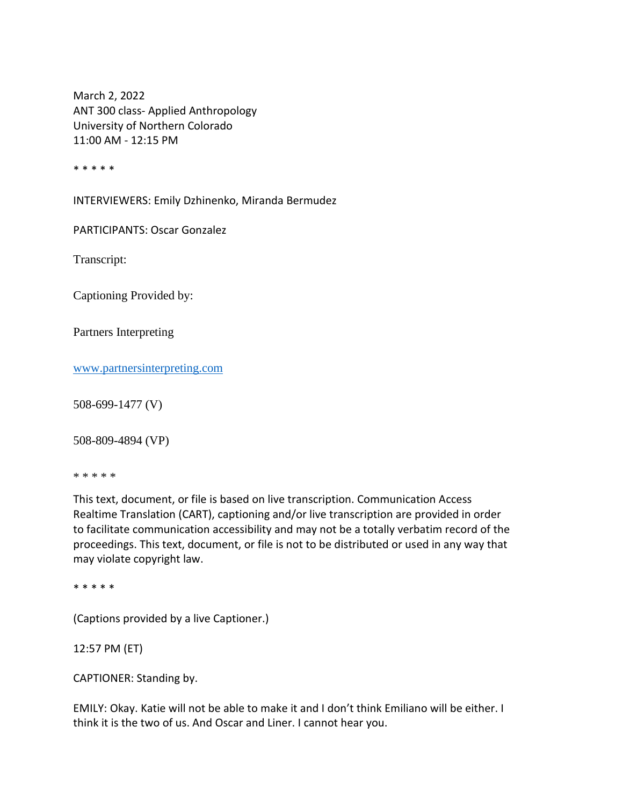March 2, 2022 ANT 300 class- Applied Anthropology University of Northern Colorado 11:00 AM - 12:15 PM

\* \* \* \* \*

INTERVIEWERS: Emily Dzhinenko, Miranda Bermudez

PARTICIPANTS: Oscar Gonzalez

Transcript:

Captioning Provided by:

Partners Interpreting

[www.partnersinterpreting.com](https://usc-word-edit.officeapps.live.com/we/www.partnersinterpreting.com)

508-699-1477 (V)

508-809-4894 (VP)

\* \* \* \* \*

This text, document, or file is based on live transcription. Communication Access Realtime Translation (CART), captioning and/or live transcription are provided in order to facilitate communication accessibility and may not be a totally verbatim record of the proceedings. This text, document, or file is not to be distributed or used in any way that may violate copyright law.

\* \* \* \* \*

(Captions provided by a live Captioner.)

12:57 PM (ET)

CAPTIONER: Standing by.

EMILY: Okay. Katie will not be able to make it and I don't think Emiliano will be either. I think it is the two of us. And Oscar and Liner. I cannot hear you.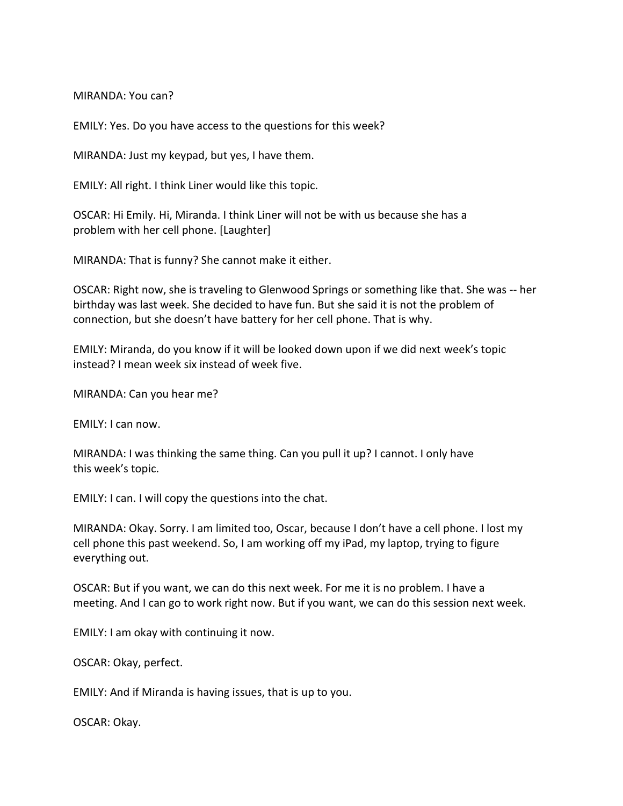MIRANDA: You can?

EMILY: Yes. Do you have access to the questions for this week?

MIRANDA: Just my keypad, but yes, I have them.

EMILY: All right. I think Liner would like this topic.

OSCAR: Hi Emily. Hi, Miranda. I think Liner will not be with us because she has a problem with her cell phone. [Laughter]

MIRANDA: That is funny? She cannot make it either.

OSCAR: Right now, she is traveling to Glenwood Springs or something like that. She was -- her birthday was last week. She decided to have fun. But she said it is not the problem of connection, but she doesn't have battery for her cell phone. That is why.

EMILY: Miranda, do you know if it will be looked down upon if we did next week's topic instead? I mean week six instead of week five.

MIRANDA: Can you hear me?

EMILY: I can now.

MIRANDA: I was thinking the same thing. Can you pull it up? I cannot. I only have this week's topic.

EMILY: I can. I will copy the questions into the chat.

MIRANDA: Okay. Sorry. I am limited too, Oscar, because I don't have a cell phone. I lost my cell phone this past weekend. So, I am working off my iPad, my laptop, trying to figure everything out.

OSCAR: But if you want, we can do this next week. For me it is no problem. I have a meeting. And I can go to work right now. But if you want, we can do this session next week.

EMILY: I am okay with continuing it now.

OSCAR: Okay, perfect.

EMILY: And if Miranda is having issues, that is up to you.

OSCAR: Okay.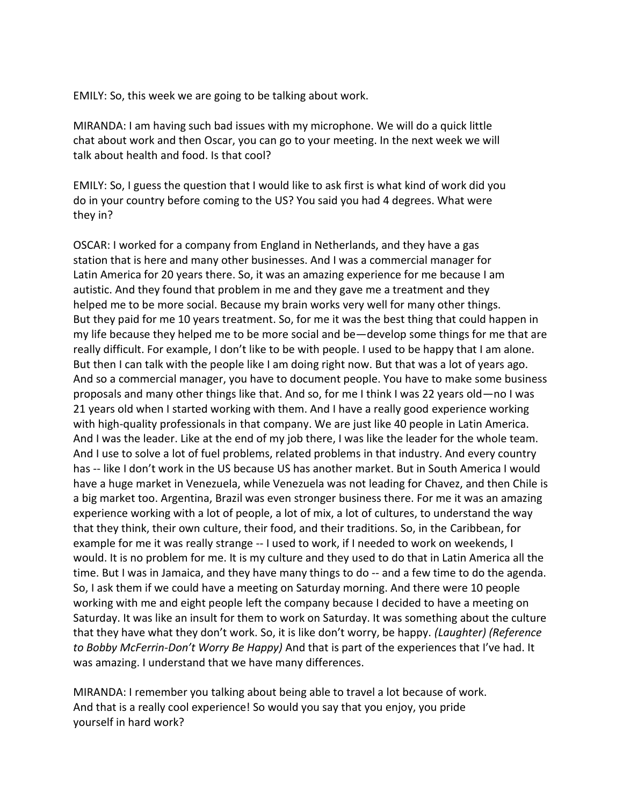EMILY: So, this week we are going to be talking about work.

MIRANDA: I am having such bad issues with my microphone. We will do a quick little chat about work and then Oscar, you can go to your meeting. In the next week we will talk about health and food. Is that cool?

EMILY: So, I guess the question that I would like to ask first is what kind of work did you do in your country before coming to the US? You said you had 4 degrees. What were they in?

OSCAR: I worked for a company from England in Netherlands, and they have a gas station that is here and many other businesses. And I was a commercial manager for Latin America for 20 years there. So, it was an amazing experience for me because I am autistic. And they found that problem in me and they gave me a treatment and they helped me to be more social. Because my brain works very well for many other things. But they paid for me 10 years treatment. So, for me it was the best thing that could happen in my life because they helped me to be more social and be—develop some things for me that are really difficult. For example, I don't like to be with people. I used to be happy that I am alone. But then I can talk with the people like I am doing right now. But that was a lot of years ago. And so a commercial manager, you have to document people. You have to make some business proposals and many other things like that. And so, for me I think I was 22 years old—no I was 21 years old when I started working with them. And I have a really good experience working with high-quality professionals in that company. We are just like 40 people in Latin America. And I was the leader. Like at the end of my job there, I was like the leader for the whole team. And I use to solve a lot of fuel problems, related problems in that industry. And every country has -- like I don't work in the US because US has another market. But in South America I would have a huge market in Venezuela, while Venezuela was not leading for Chavez, and then Chile is a big market too. Argentina, Brazil was even stronger business there. For me it was an amazing experience working with a lot of people, a lot of mix, a lot of cultures, to understand the way that they think, their own culture, their food, and their traditions. So, in the Caribbean, for example for me it was really strange -- I used to work, if I needed to work on weekends, I would. It is no problem for me. It is my culture and they used to do that in Latin America all the time. But I was in Jamaica, and they have many things to do -- and a few time to do the agenda. So, I ask them if we could have a meeting on Saturday morning. And there were 10 people working with me and eight people left the company because I decided to have a meeting on Saturday. It was like an insult for them to work on Saturday. It was something about the culture that they have what they don't work. So, it is like don't worry, be happy. *(Laughter) (Reference to Bobby McFerrin-Don't Worry Be Happy)* And that is part of the experiences that I've had. It was amazing. I understand that we have many differences.

MIRANDA: I remember you talking about being able to travel a lot because of work. And that is a really cool experience! So would you say that you enjoy, you pride yourself in hard work?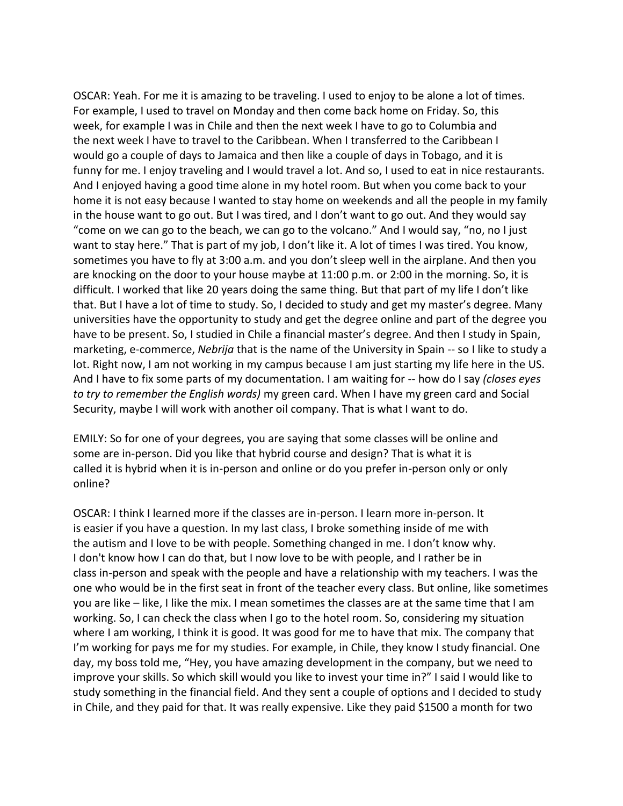OSCAR: Yeah. For me it is amazing to be traveling. I used to enjoy to be alone a lot of times. For example, I used to travel on Monday and then come back home on Friday. So, this week, for example I was in Chile and then the next week I have to go to Columbia and the next week I have to travel to the Caribbean. When I transferred to the Caribbean I would go a couple of days to Jamaica and then like a couple of days in Tobago, and it is funny for me. I enjoy traveling and I would travel a lot. And so, I used to eat in nice restaurants. And I enjoyed having a good time alone in my hotel room. But when you come back to your home it is not easy because I wanted to stay home on weekends and all the people in my family in the house want to go out. But I was tired, and I don't want to go out. And they would say "come on we can go to the beach, we can go to the volcano." And I would say, "no, no I just want to stay here." That is part of my job, I don't like it. A lot of times I was tired. You know, sometimes you have to fly at 3:00 a.m. and you don't sleep well in the airplane. And then you are knocking on the door to your house maybe at 11:00 p.m. or 2:00 in the morning. So, it is difficult. I worked that like 20 years doing the same thing. But that part of my life I don't like that. But I have a lot of time to study. So, I decided to study and get my master's degree. Many universities have the opportunity to study and get the degree online and part of the degree you have to be present. So, I studied in Chile a financial master's degree. And then I study in Spain, marketing, e-commerce, *Nebrija* that is the name of the University in Spain -- so I like to study a lot. Right now, I am not working in my campus because I am just starting my life here in the US. And I have to fix some parts of my documentation. I am waiting for -- how do I say *(closes eyes to try to remember the English words)* my green card. When I have my green card and Social Security, maybe I will work with another oil company. That is what I want to do.

EMILY: So for one of your degrees, you are saying that some classes will be online and some are in-person. Did you like that hybrid course and design? That is what it is called it is hybrid when it is in-person and online or do you prefer in-person only or only online?

OSCAR: I think I learned more if the classes are in-person. I learn more in-person. It is easier if you have a question. In my last class, I broke something inside of me with the autism and I love to be with people. Something changed in me. I don't know why. I don't know how I can do that, but I now love to be with people, and I rather be in class in-person and speak with the people and have a relationship with my teachers. I was the one who would be in the first seat in front of the teacher every class. But online, like sometimes you are like – like, I like the mix. I mean sometimes the classes are at the same time that I am working. So, I can check the class when I go to the hotel room. So, considering my situation where I am working, I think it is good. It was good for me to have that mix. The company that I'm working for pays me for my studies. For example, in Chile, they know I study financial. One day, my boss told me, "Hey, you have amazing development in the company, but we need to improve your skills. So which skill would you like to invest your time in?" I said I would like to study something in the financial field. And they sent a couple of options and I decided to study in Chile, and they paid for that. It was really expensive. Like they paid \$1500 a month for two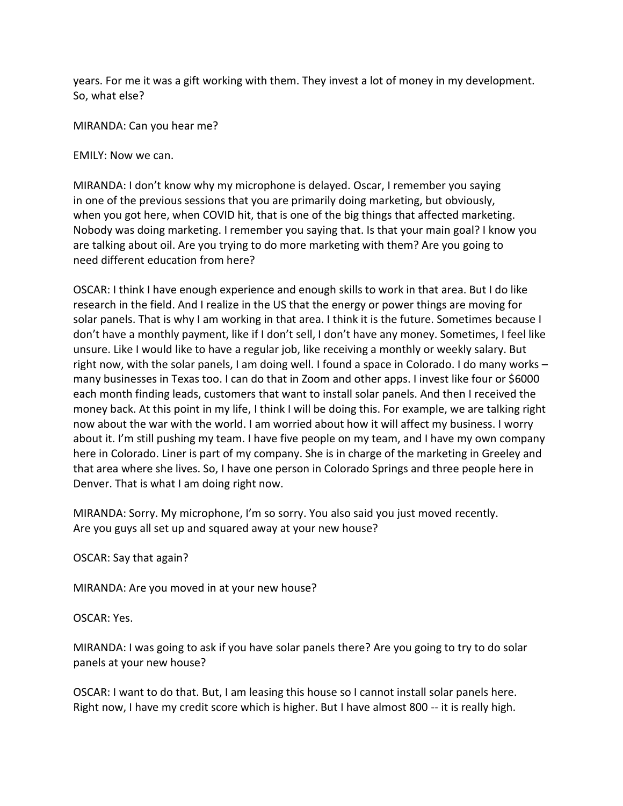years. For me it was a gift working with them. They invest a lot of money in my development. So, what else?

MIRANDA: Can you hear me?

EMILY: Now we can.

MIRANDA: I don't know why my microphone is delayed. Oscar, I remember you saying in one of the previous sessions that you are primarily doing marketing, but obviously, when you got here, when COVID hit, that is one of the big things that affected marketing. Nobody was doing marketing. I remember you saying that. Is that your main goal? I know you are talking about oil. Are you trying to do more marketing with them? Are you going to need different education from here?

OSCAR: I think I have enough experience and enough skills to work in that area. But I do like research in the field. And I realize in the US that the energy or power things are moving for solar panels. That is why I am working in that area. I think it is the future. Sometimes because I don't have a monthly payment, like if I don't sell, I don't have any money. Sometimes, I feel like unsure. Like I would like to have a regular job, like receiving a monthly or weekly salary. But right now, with the solar panels, I am doing well. I found a space in Colorado. I do many works – many businesses in Texas too. I can do that in Zoom and other apps. I invest like four or \$6000 each month finding leads, customers that want to install solar panels. And then I received the money back. At this point in my life, I think I will be doing this. For example, we are talking right now about the war with the world. I am worried about how it will affect my business. I worry about it. I'm still pushing my team. I have five people on my team, and I have my own company here in Colorado. Liner is part of my company. She is in charge of the marketing in Greeley and that area where she lives. So, I have one person in Colorado Springs and three people here in Denver. That is what I am doing right now.

MIRANDA: Sorry. My microphone, I'm so sorry. You also said you just moved recently. Are you guys all set up and squared away at your new house?

OSCAR: Say that again?

MIRANDA: Are you moved in at your new house?

OSCAR: Yes.

MIRANDA: I was going to ask if you have solar panels there? Are you going to try to do solar panels at your new house?

OSCAR: I want to do that. But, I am leasing this house so I cannot install solar panels here. Right now, I have my credit score which is higher. But I have almost 800 -- it is really high.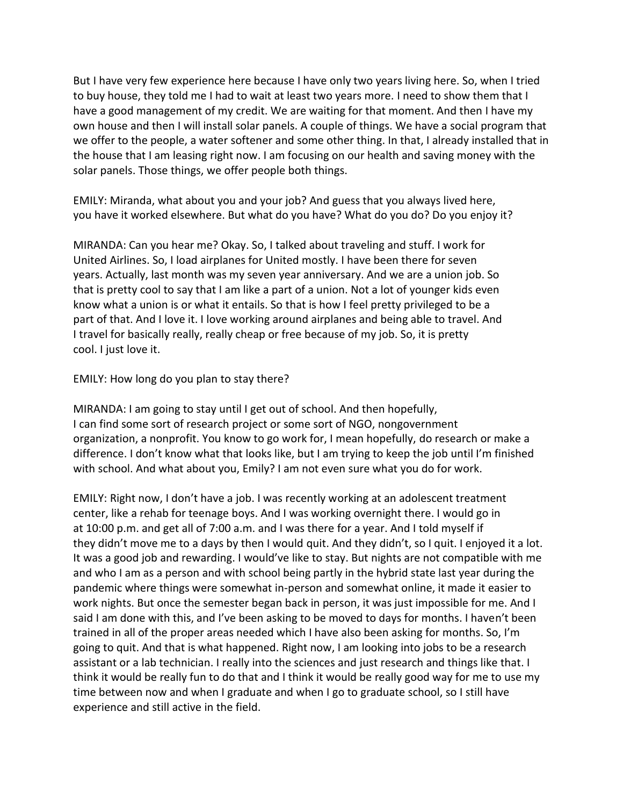But I have very few experience here because I have only two years living here. So, when I tried to buy house, they told me I had to wait at least two years more. I need to show them that I have a good management of my credit. We are waiting for that moment. And then I have my own house and then I will install solar panels. A couple of things. We have a social program that we offer to the people, a water softener and some other thing. In that, I already installed that in the house that I am leasing right now. I am focusing on our health and saving money with the solar panels. Those things, we offer people both things.

EMILY: Miranda, what about you and your job? And guess that you always lived here, you have it worked elsewhere. But what do you have? What do you do? Do you enjoy it?

MIRANDA: Can you hear me? Okay. So, I talked about traveling and stuff. I work for United Airlines. So, I load airplanes for United mostly. I have been there for seven years. Actually, last month was my seven year anniversary. And we are a union job. So that is pretty cool to say that I am like a part of a union. Not a lot of younger kids even know what a union is or what it entails. So that is how I feel pretty privileged to be a part of that. And I love it. I love working around airplanes and being able to travel. And I travel for basically really, really cheap or free because of my job. So, it is pretty cool. I just love it.

EMILY: How long do you plan to stay there?

MIRANDA: I am going to stay until I get out of school. And then hopefully, I can find some sort of research project or some sort of NGO, nongovernment organization, a nonprofit. You know to go work for, I mean hopefully, do research or make a difference. I don't know what that looks like, but I am trying to keep the job until I'm finished with school. And what about you, Emily? I am not even sure what you do for work.

EMILY: Right now, I don't have a job. I was recently working at an adolescent treatment center, like a rehab for teenage boys. And I was working overnight there. I would go in at 10:00 p.m. and get all of 7:00 a.m. and I was there for a year. And I told myself if they didn't move me to a days by then I would quit. And they didn't, so I quit. I enjoyed it a lot. It was a good job and rewarding. I would've like to stay. But nights are not compatible with me and who I am as a person and with school being partly in the hybrid state last year during the pandemic where things were somewhat in-person and somewhat online, it made it easier to work nights. But once the semester began back in person, it was just impossible for me. And I said I am done with this, and I've been asking to be moved to days for months. I haven't been trained in all of the proper areas needed which I have also been asking for months. So, I'm going to quit. And that is what happened. Right now, I am looking into jobs to be a research assistant or a lab technician. I really into the sciences and just research and things like that. I think it would be really fun to do that and I think it would be really good way for me to use my time between now and when I graduate and when I go to graduate school, so I still have experience and still active in the field.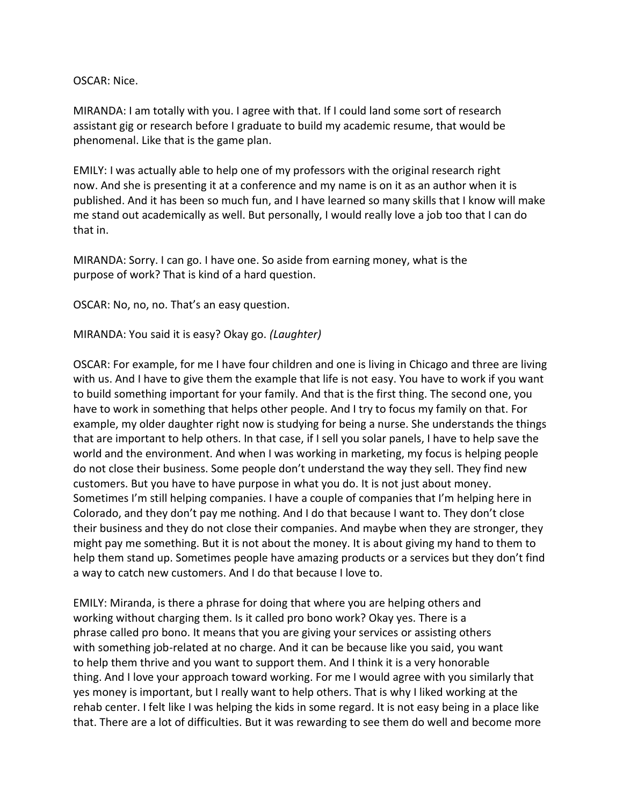### OSCAR: Nice.

MIRANDA: I am totally with you. I agree with that. If I could land some sort of research assistant gig or research before I graduate to build my academic resume, that would be phenomenal. Like that is the game plan.

EMILY: I was actually able to help one of my professors with the original research right now. And she is presenting it at a conference and my name is on it as an author when it is published. And it has been so much fun, and I have learned so many skills that I know will make me stand out academically as well. But personally, I would really love a job too that I can do that in.

MIRANDA: Sorry. I can go. I have one. So aside from earning money, what is the purpose of work? That is kind of a hard question.

OSCAR: No, no, no. That's an easy question.

MIRANDA: You said it is easy? Okay go. *(Laughter)*

OSCAR: For example, for me I have four children and one is living in Chicago and three are living with us. And I have to give them the example that life is not easy. You have to work if you want to build something important for your family. And that is the first thing. The second one, you have to work in something that helps other people. And I try to focus my family on that. For example, my older daughter right now is studying for being a nurse. She understands the things that are important to help others. In that case, if I sell you solar panels, I have to help save the world and the environment. And when I was working in marketing, my focus is helping people do not close their business. Some people don't understand the way they sell. They find new customers. But you have to have purpose in what you do. It is not just about money. Sometimes I'm still helping companies. I have a couple of companies that I'm helping here in Colorado, and they don't pay me nothing. And I do that because I want to. They don't close their business and they do not close their companies. And maybe when they are stronger, they might pay me something. But it is not about the money. It is about giving my hand to them to help them stand up. Sometimes people have amazing products or a services but they don't find a way to catch new customers. And I do that because I love to.

EMILY: Miranda, is there a phrase for doing that where you are helping others and working without charging them. Is it called pro bono work? Okay yes. There is a phrase called pro bono. It means that you are giving your services or assisting others with something job-related at no charge. And it can be because like you said, you want to help them thrive and you want to support them. And I think it is a very honorable thing. And I love your approach toward working. For me I would agree with you similarly that yes money is important, but I really want to help others. That is why I liked working at the rehab center. I felt like I was helping the kids in some regard. It is not easy being in a place like that. There are a lot of difficulties. But it was rewarding to see them do well and become more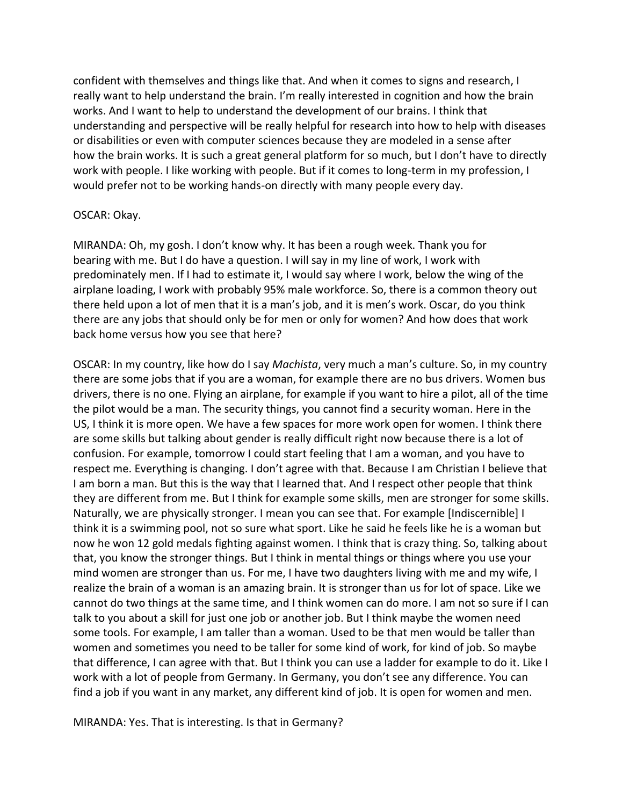confident with themselves and things like that. And when it comes to signs and research, I really want to help understand the brain. I'm really interested in cognition and how the brain works. And I want to help to understand the development of our brains. I think that understanding and perspective will be really helpful for research into how to help with diseases or disabilities or even with computer sciences because they are modeled in a sense after how the brain works. It is such a great general platform for so much, but I don't have to directly work with people. I like working with people. But if it comes to long-term in my profession, I would prefer not to be working hands-on directly with many people every day.

#### OSCAR: Okay.

MIRANDA: Oh, my gosh. I don't know why. It has been a rough week. Thank you for bearing with me. But I do have a question. I will say in my line of work, I work with predominately men. If I had to estimate it, I would say where I work, below the wing of the airplane loading, I work with probably 95% male workforce. So, there is a common theory out there held upon a lot of men that it is a man's job, and it is men's work. Oscar, do you think there are any jobs that should only be for men or only for women? And how does that work back home versus how you see that here?

OSCAR: In my country, like how do I say *Machista*, very much a man's culture. So, in my country there are some jobs that if you are a woman, for example there are no bus drivers. Women bus drivers, there is no one. Flying an airplane, for example if you want to hire a pilot, all of the time the pilot would be a man. The security things, you cannot find a security woman. Here in the US, I think it is more open. We have a few spaces for more work open for women. I think there are some skills but talking about gender is really difficult right now because there is a lot of confusion. For example, tomorrow I could start feeling that I am a woman, and you have to respect me. Everything is changing. I don't agree with that. Because I am Christian I believe that I am born a man. But this is the way that I learned that. And I respect other people that think they are different from me. But I think for example some skills, men are stronger for some skills. Naturally, we are physically stronger. I mean you can see that. For example [Indiscernible] I think it is a swimming pool, not so sure what sport. Like he said he feels like he is a woman but now he won 12 gold medals fighting against women. I think that is crazy thing. So, talking about that, you know the stronger things. But I think in mental things or things where you use your mind women are stronger than us. For me, I have two daughters living with me and my wife, I realize the brain of a woman is an amazing brain. It is stronger than us for lot of space. Like we cannot do two things at the same time, and I think women can do more. I am not so sure if I can talk to you about a skill for just one job or another job. But I think maybe the women need some tools. For example, I am taller than a woman. Used to be that men would be taller than women and sometimes you need to be taller for some kind of work, for kind of job. So maybe that difference, I can agree with that. But I think you can use a ladder for example to do it. Like I work with a lot of people from Germany. In Germany, you don't see any difference. You can find a job if you want in any market, any different kind of job. It is open for women and men.

MIRANDA: Yes. That is interesting. Is that in Germany?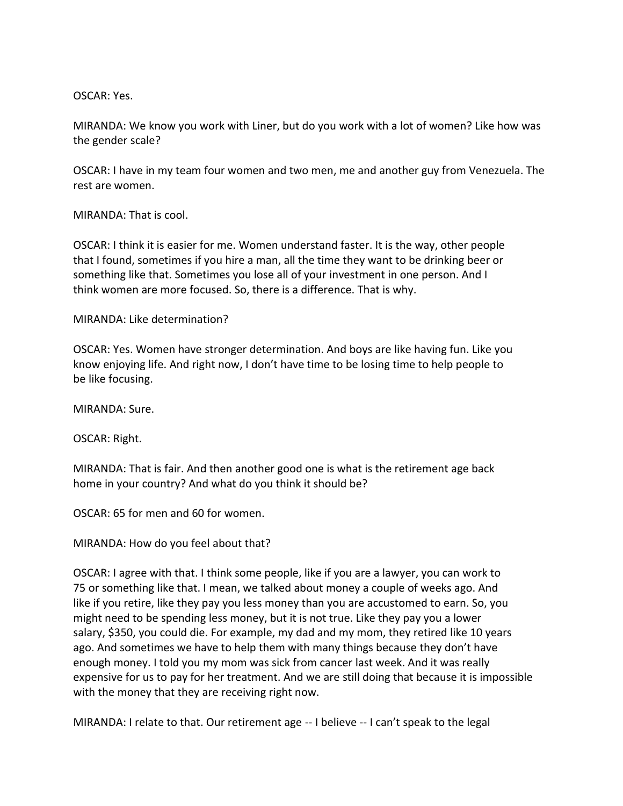OSCAR: Yes.

MIRANDA: We know you work with Liner, but do you work with a lot of women? Like how was the gender scale?

OSCAR: I have in my team four women and two men, me and another guy from Venezuela. The rest are women.

MIRANDA: That is cool.

OSCAR: I think it is easier for me. Women understand faster. It is the way, other people that I found, sometimes if you hire a man, all the time they want to be drinking beer or something like that. Sometimes you lose all of your investment in one person. And I think women are more focused. So, there is a difference. That is why.

MIRANDA: Like determination?

OSCAR: Yes. Women have stronger determination. And boys are like having fun. Like you know enjoying life. And right now, I don't have time to be losing time to help people to be like focusing.

MIRANDA: Sure.

OSCAR: Right.

MIRANDA: That is fair. And then another good one is what is the retirement age back home in your country? And what do you think it should be?

OSCAR: 65 for men and 60 for women.

MIRANDA: How do you feel about that?

OSCAR: I agree with that. I think some people, like if you are a lawyer, you can work to 75 or something like that. I mean, we talked about money a couple of weeks ago. And like if you retire, like they pay you less money than you are accustomed to earn. So, you might need to be spending less money, but it is not true. Like they pay you a lower salary, \$350, you could die. For example, my dad and my mom, they retired like 10 years ago. And sometimes we have to help them with many things because they don't have enough money. I told you my mom was sick from cancer last week. And it was really expensive for us to pay for her treatment. And we are still doing that because it is impossible with the money that they are receiving right now.

MIRANDA: I relate to that. Our retirement age -- I believe -- I can't speak to the legal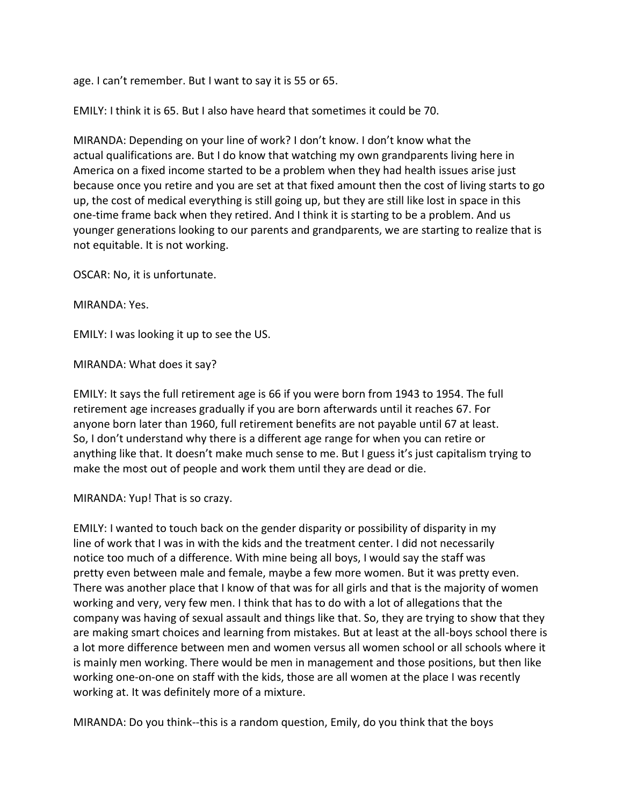age. I can't remember. But I want to say it is 55 or 65.

EMILY: I think it is 65. But I also have heard that sometimes it could be 70.

MIRANDA: Depending on your line of work? I don't know. I don't know what the actual qualifications are. But I do know that watching my own grandparents living here in America on a fixed income started to be a problem when they had health issues arise just because once you retire and you are set at that fixed amount then the cost of living starts to go up, the cost of medical everything is still going up, but they are still like lost in space in this one-time frame back when they retired. And I think it is starting to be a problem. And us younger generations looking to our parents and grandparents, we are starting to realize that is not equitable. It is not working.

OSCAR: No, it is unfortunate.

MIRANDA: Yes.

EMILY: I was looking it up to see the US.

MIRANDA: What does it say?

EMILY: It says the full retirement age is 66 if you were born from 1943 to 1954. The full retirement age increases gradually if you are born afterwards until it reaches 67. For anyone born later than 1960, full retirement benefits are not payable until 67 at least. So, I don't understand why there is a different age range for when you can retire or anything like that. It doesn't make much sense to me. But I guess it's just capitalism trying to make the most out of people and work them until they are dead or die.

MIRANDA: Yup! That is so crazy.

EMILY: I wanted to touch back on the gender disparity or possibility of disparity in my line of work that I was in with the kids and the treatment center. I did not necessarily notice too much of a difference. With mine being all boys, I would say the staff was pretty even between male and female, maybe a few more women. But it was pretty even. There was another place that I know of that was for all girls and that is the majority of women working and very, very few men. I think that has to do with a lot of allegations that the company was having of sexual assault and things like that. So, they are trying to show that they are making smart choices and learning from mistakes. But at least at the all-boys school there is a lot more difference between men and women versus all women school or all schools where it is mainly men working. There would be men in management and those positions, but then like working one-on-one on staff with the kids, those are all women at the place I was recently working at. It was definitely more of a mixture.

MIRANDA: Do you think--this is a random question, Emily, do you think that the boys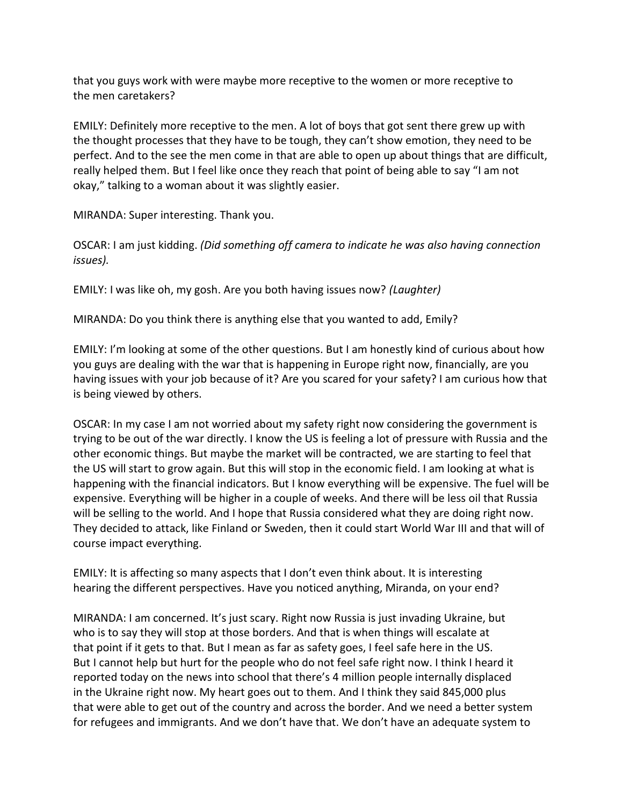that you guys work with were maybe more receptive to the women or more receptive to the men caretakers?

EMILY: Definitely more receptive to the men. A lot of boys that got sent there grew up with the thought processes that they have to be tough, they can't show emotion, they need to be perfect. And to the see the men come in that are able to open up about things that are difficult, really helped them. But I feel like once they reach that point of being able to say "I am not okay," talking to a woman about it was slightly easier.

MIRANDA: Super interesting. Thank you.

OSCAR: I am just kidding. *(Did something off camera to indicate he was also having connection issues).*

EMILY: I was like oh, my gosh. Are you both having issues now? *(Laughter)*

MIRANDA: Do you think there is anything else that you wanted to add, Emily?

EMILY: I'm looking at some of the other questions. But I am honestly kind of curious about how you guys are dealing with the war that is happening in Europe right now, financially, are you having issues with your job because of it? Are you scared for your safety? I am curious how that is being viewed by others.

OSCAR: In my case I am not worried about my safety right now considering the government is trying to be out of the war directly. I know the US is feeling a lot of pressure with Russia and the other economic things. But maybe the market will be contracted, we are starting to feel that the US will start to grow again. But this will stop in the economic field. I am looking at what is happening with the financial indicators. But I know everything will be expensive. The fuel will be expensive. Everything will be higher in a couple of weeks. And there will be less oil that Russia will be selling to the world. And I hope that Russia considered what they are doing right now. They decided to attack, like Finland or Sweden, then it could start World War III and that will of course impact everything.

EMILY: It is affecting so many aspects that I don't even think about. It is interesting hearing the different perspectives. Have you noticed anything, Miranda, on your end?

MIRANDA: I am concerned. It's just scary. Right now Russia is just invading Ukraine, but who is to say they will stop at those borders. And that is when things will escalate at that point if it gets to that. But I mean as far as safety goes, I feel safe here in the US. But I cannot help but hurt for the people who do not feel safe right now. I think I heard it reported today on the news into school that there's 4 million people internally displaced in the Ukraine right now. My heart goes out to them. And I think they said 845,000 plus that were able to get out of the country and across the border. And we need a better system for refugees and immigrants. And we don't have that. We don't have an adequate system to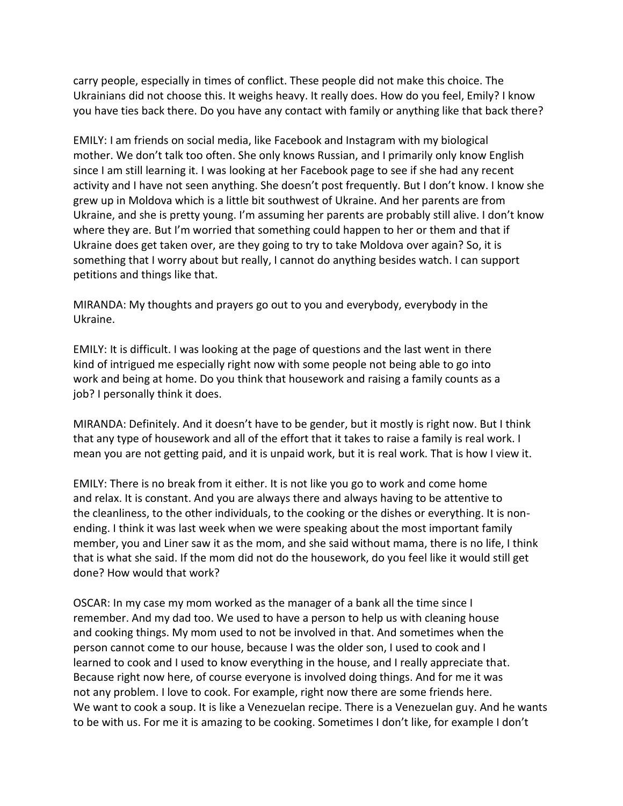carry people, especially in times of conflict. These people did not make this choice. The Ukrainians did not choose this. It weighs heavy. It really does. How do you feel, Emily? I know you have ties back there. Do you have any contact with family or anything like that back there?

EMILY: I am friends on social media, like Facebook and Instagram with my biological mother. We don't talk too often. She only knows Russian, and I primarily only know English since I am still learning it. I was looking at her Facebook page to see if she had any recent activity and I have not seen anything. She doesn't post frequently. But I don't know. I know she grew up in Moldova which is a little bit southwest of Ukraine. And her parents are from Ukraine, and she is pretty young. I'm assuming her parents are probably still alive. I don't know where they are. But I'm worried that something could happen to her or them and that if Ukraine does get taken over, are they going to try to take Moldova over again? So, it is something that I worry about but really, I cannot do anything besides watch. I can support petitions and things like that.

MIRANDA: My thoughts and prayers go out to you and everybody, everybody in the Ukraine.

EMILY: It is difficult. I was looking at the page of questions and the last went in there kind of intrigued me especially right now with some people not being able to go into work and being at home. Do you think that housework and raising a family counts as a job? I personally think it does.

MIRANDA: Definitely. And it doesn't have to be gender, but it mostly is right now. But I think that any type of housework and all of the effort that it takes to raise a family is real work. I mean you are not getting paid, and it is unpaid work, but it is real work. That is how I view it.

EMILY: There is no break from it either. It is not like you go to work and come home and relax. It is constant. And you are always there and always having to be attentive to the cleanliness, to the other individuals, to the cooking or the dishes or everything. It is nonending. I think it was last week when we were speaking about the most important family member, you and Liner saw it as the mom, and she said without mama, there is no life, I think that is what she said. If the mom did not do the housework, do you feel like it would still get done? How would that work?

OSCAR: In my case my mom worked as the manager of a bank all the time since I remember. And my dad too. We used to have a person to help us with cleaning house and cooking things. My mom used to not be involved in that. And sometimes when the person cannot come to our house, because I was the older son, I used to cook and I learned to cook and I used to know everything in the house, and I really appreciate that. Because right now here, of course everyone is involved doing things. And for me it was not any problem. I love to cook. For example, right now there are some friends here. We want to cook a soup. It is like a Venezuelan recipe. There is a Venezuelan guy. And he wants to be with us. For me it is amazing to be cooking. Sometimes I don't like, for example I don't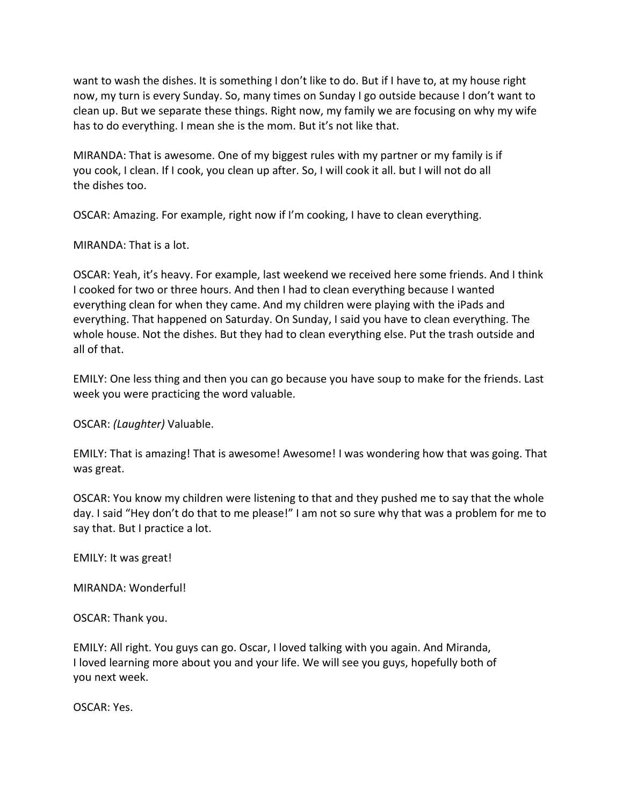want to wash the dishes. It is something I don't like to do. But if I have to, at my house right now, my turn is every Sunday. So, many times on Sunday I go outside because I don't want to clean up. But we separate these things. Right now, my family we are focusing on why my wife has to do everything. I mean she is the mom. But it's not like that.

MIRANDA: That is awesome. One of my biggest rules with my partner or my family is if you cook, I clean. If I cook, you clean up after. So, I will cook it all. but I will not do all the dishes too.

OSCAR: Amazing. For example, right now if I'm cooking, I have to clean everything.

MIRANDA: That is a lot.

OSCAR: Yeah, it's heavy. For example, last weekend we received here some friends. And I think I cooked for two or three hours. And then I had to clean everything because I wanted everything clean for when they came. And my children were playing with the iPads and everything. That happened on Saturday. On Sunday, I said you have to clean everything. The whole house. Not the dishes. But they had to clean everything else. Put the trash outside and all of that.

EMILY: One less thing and then you can go because you have soup to make for the friends. Last week you were practicing the word valuable.

OSCAR: *(Laughter)* Valuable.

EMILY: That is amazing! That is awesome! Awesome! I was wondering how that was going. That was great.

OSCAR: You know my children were listening to that and they pushed me to say that the whole day. I said "Hey don't do that to me please!" I am not so sure why that was a problem for me to say that. But I practice a lot.

EMILY: It was great!

MIRANDA: Wonderful!

OSCAR: Thank you.

EMILY: All right. You guys can go. Oscar, I loved talking with you again. And Miranda, I loved learning more about you and your life. We will see you guys, hopefully both of you next week.

OSCAR: Yes.